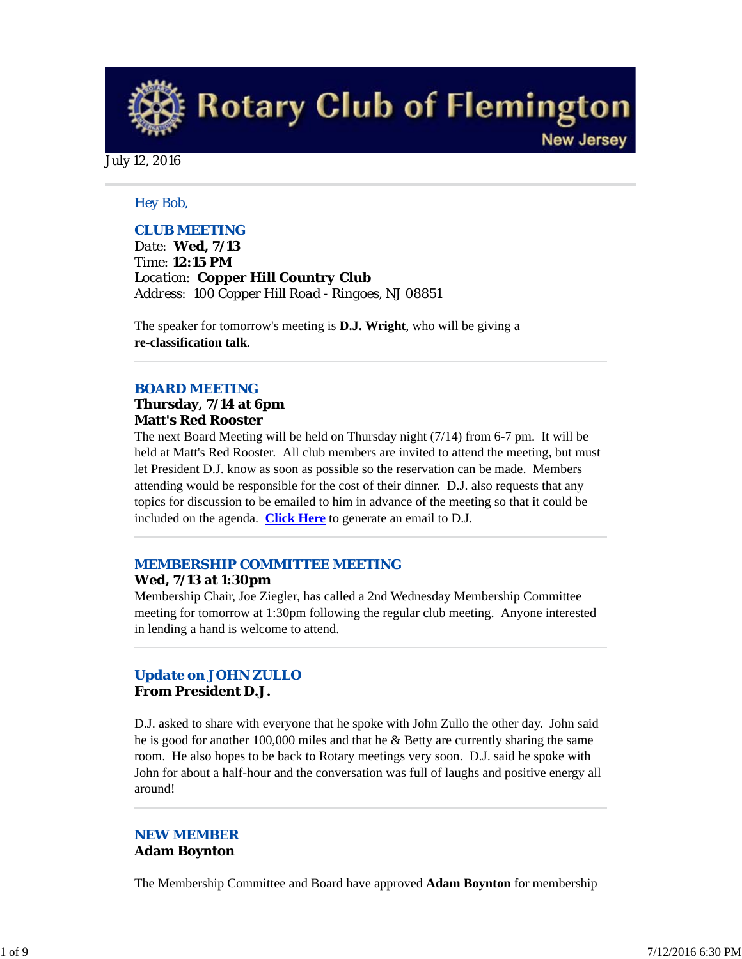**Rotary Club of Flemington New Jersey** 

July 12, 2016

# *Hey Bob,*

# *CLUB MEETING*

*Date: Wed, 7/13 Time: 12:15 PM Location: Copper Hill Country Club Address: 100 Copper Hill Road - Ringoes, NJ 08851*

The speaker for tomorrow's meeting is **D.J. Wright**, who will be giving a **re-classification talk**.

## *BOARD MEETING*

### **Thursday, 7/14 at 6pm Matt's Red Rooster**

The next Board Meeting will be held on Thursday night (7/14) from 6-7 pm. It will be held at Matt's Red Rooster. All club members are invited to attend the meeting, but must let President D.J. know as soon as possible so the reservation can be made. Members attending would be responsible for the cost of their dinner. D.J. also requests that any topics for discussion to be emailed to him in advance of the meeting so that it could be included on the agenda. **Click Here** to generate an email to D.J.

# *MEMBERSHIP COMMITTEE MEETING*

## **Wed, 7/13 at 1:30pm**

Membership Chair, Joe Ziegler, has called a 2nd Wednesday Membership Committee meeting for tomorrow at 1:30pm following the regular club meeting. Anyone interested in lending a hand is welcome to attend.

# *Update on JOHN ZULLO* **From President D.J.**

D.J. asked to share with everyone that he spoke with John Zullo the other day. John said he is good for another 100,000 miles and that he & Betty are currently sharing the same room. He also hopes to be back to Rotary meetings very soon. D.J. said he spoke with John for about a half-hour and the conversation was full of laughs and positive energy all around!

## *NEW MEMBER* **Adam Boynton**

The Membership Committee and Board have approved **Adam Boynton** for membership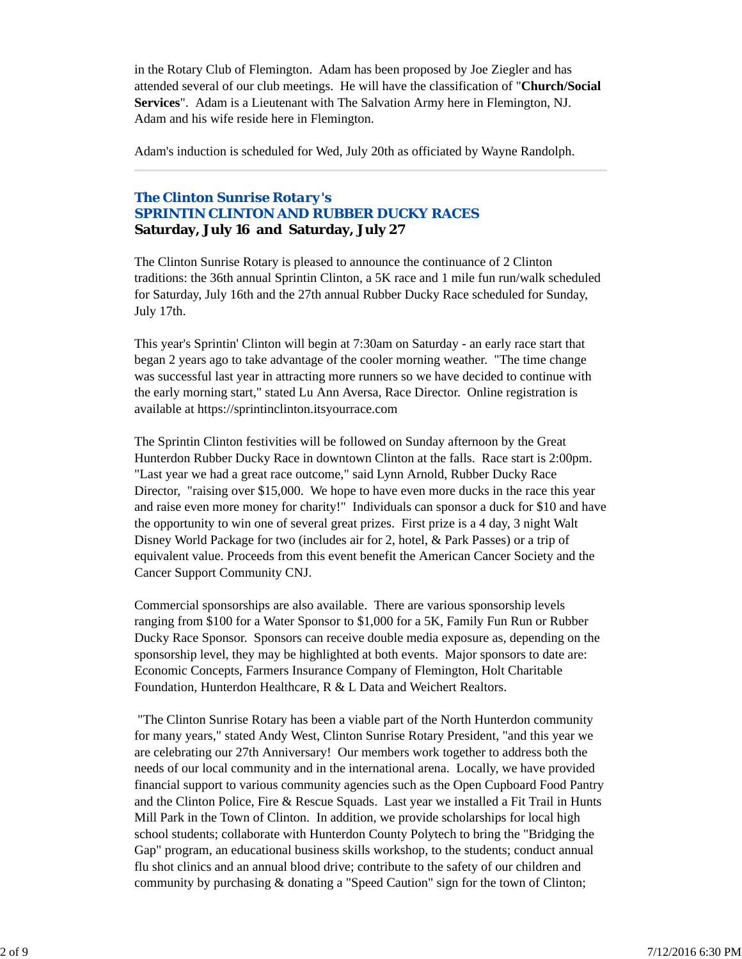in the Rotary Club of Flemington. Adam has been proposed by Joe Ziegler and has attended several of our club meetings. He will have the classification of "**Church/Social Services**". Adam is a Lieutenant with The Salvation Army here in Flemington, NJ. Adam and his wife reside here in Flemington.

Adam's induction is scheduled for Wed, July 20th as officiated by Wayne Randolph.

# *The Clinton Sunrise Rotary's SPRINTIN CLINTON AND RUBBER DUCKY RACES* **Saturday, July 16 and Saturday, July 27**

The Clinton Sunrise Rotary is pleased to announce the continuance of 2 Clinton traditions: the 36th annual Sprintin Clinton, a 5K race and 1 mile fun run/walk scheduled for Saturday, July 16th and the 27th annual Rubber Ducky Race scheduled for Sunday, July 17th.

This year's Sprintin' Clinton will begin at 7:30am on Saturday - an early race start that began 2 years ago to take advantage of the cooler morning weather. "The time change was successful last year in attracting more runners so we have decided to continue with the early morning start," stated Lu Ann Aversa, Race Director. Online registration is available at https://sprintinclinton.itsyourrace.com

The Sprintin Clinton festivities will be followed on Sunday afternoon by the Great Hunterdon Rubber Ducky Race in downtown Clinton at the falls. Race start is 2:00pm. "Last year we had a great race outcome," said Lynn Arnold, Rubber Ducky Race Director, "raising over \$15,000. We hope to have even more ducks in the race this year and raise even more money for charity!" Individuals can sponsor a duck for \$10 and have the opportunity to win one of several great prizes. First prize is a 4 day, 3 night Walt Disney World Package for two (includes air for 2, hotel, & Park Passes) or a trip of equivalent value. Proceeds from this event benefit the American Cancer Society and the Cancer Support Community CNJ.

Commercial sponsorships are also available. There are various sponsorship levels ranging from \$100 for a Water Sponsor to \$1,000 for a 5K, Family Fun Run or Rubber Ducky Race Sponsor. Sponsors can receive double media exposure as, depending on the sponsorship level, they may be highlighted at both events. Major sponsors to date are: Economic Concepts, Farmers Insurance Company of Flemington, Holt Charitable Foundation, Hunterdon Healthcare, R & L Data and Weichert Realtors.

 "The Clinton Sunrise Rotary has been a viable part of the North Hunterdon community for many years," stated Andy West, Clinton Sunrise Rotary President, "and this year we are celebrating our 27th Anniversary! Our members work together to address both the needs of our local community and in the international arena. Locally, we have provided financial support to various community agencies such as the Open Cupboard Food Pantry and the Clinton Police, Fire & Rescue Squads. Last year we installed a Fit Trail in Hunts Mill Park in the Town of Clinton. In addition, we provide scholarships for local high school students; collaborate with Hunterdon County Polytech to bring the "Bridging the Gap" program, an educational business skills workshop, to the students; conduct annual flu shot clinics and an annual blood drive; contribute to the safety of our children and community by purchasing & donating a "Speed Caution" sign for the town of Clinton;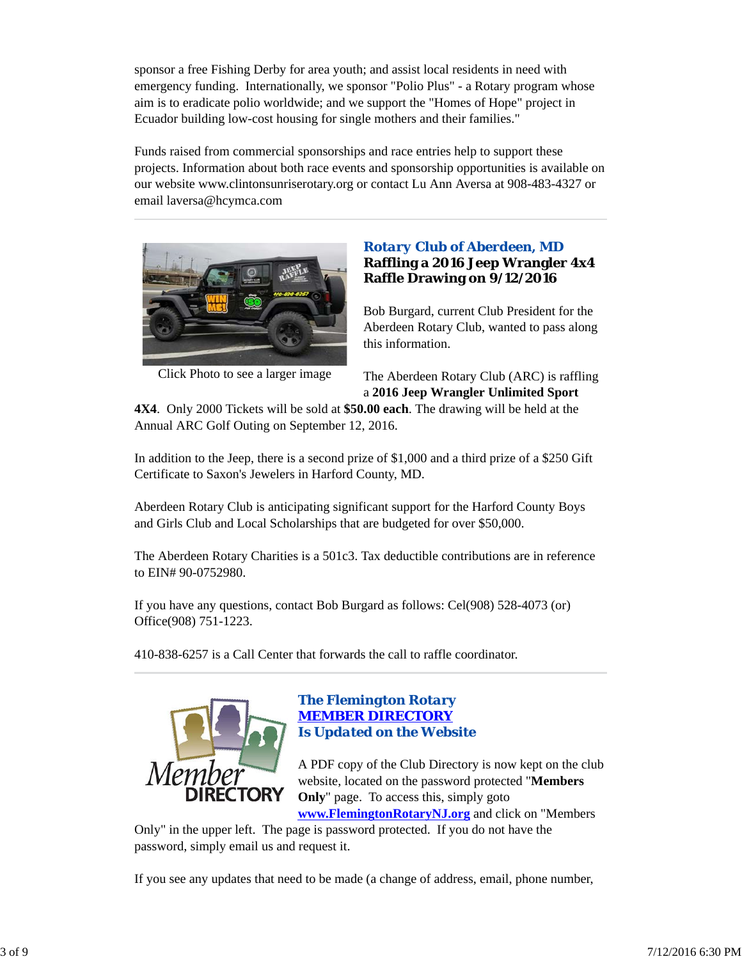sponsor a free Fishing Derby for area youth; and assist local residents in need with emergency funding. Internationally, we sponsor "Polio Plus" - a Rotary program whose aim is to eradicate polio worldwide; and we support the "Homes of Hope" project in Ecuador building low-cost housing for single mothers and their families."

Funds raised from commercial sponsorships and race entries help to support these projects. Information about both race events and sponsorship opportunities is available on our website www.clintonsunriserotary.org or contact Lu Ann Aversa at 908-483-4327 or email laversa@hcymca.com



Click Photo to see a larger image

# *Rotary Club of Aberdeen, MD* **Raffling a 2016 Jeep Wrangler 4x4 Raffle Drawing on 9/12/2016**

Bob Burgard, current Club President for the Aberdeen Rotary Club, wanted to pass along this information.

The Aberdeen Rotary Club (ARC) is raffling a **2016 Jeep Wrangler Unlimited Sport**

**4X4**. Only 2000 Tickets will be sold at **\$50.00 each**. The drawing will be held at the Annual ARC Golf Outing on September 12, 2016.

In addition to the Jeep, there is a second prize of \$1,000 and a third prize of a \$250 Gift Certificate to Saxon's Jewelers in Harford County, MD.

Aberdeen Rotary Club is anticipating significant support for the Harford County Boys and Girls Club and Local Scholarships that are budgeted for over \$50,000.

The Aberdeen Rotary Charities is a 501c3. Tax deductible contributions are in reference to EIN# 90-0752980.

If you have any questions, contact Bob Burgard as follows: Cel(908) 528-4073 (or) Office(908) 751-1223.

410-838-6257 is a Call Center that forwards the call to raffle coordinator.



## *The Flemington Rotary MEMBER DIRECTORY Is Updated on the Website*

A PDF copy of the Club Directory is now kept on the club website, located on the password protected "**Members Only**" page. To access this, simply goto **www.FlemingtonRotaryNJ.org** and click on "Members

Only" in the upper left. The page is password protected. If you do not have the password, simply email us and request it.

If you see any updates that need to be made (a change of address, email, phone number,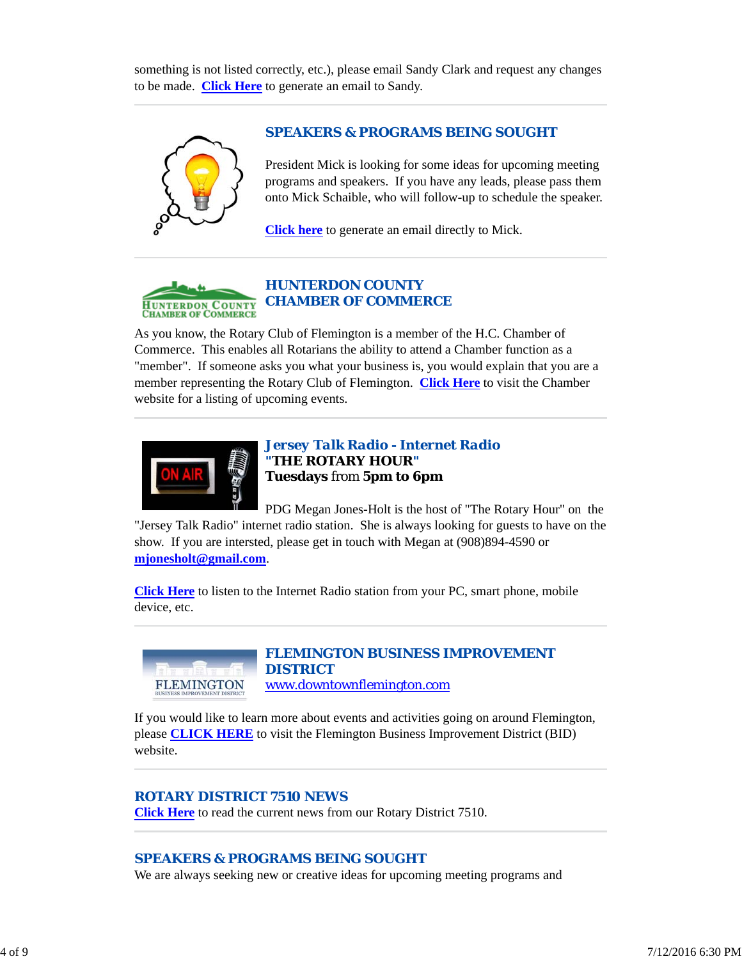something is not listed correctly, etc.), please email Sandy Clark and request any changes to be made. **Click Here** to generate an email to Sandy.



## *SPEAKERS & PROGRAMS BEING SOUGHT*

President Mick is looking for some ideas for upcoming meeting programs and speakers. If you have any leads, please pass them onto Mick Schaible, who will follow-up to schedule the speaker.

**Click here** to generate an email directly to Mick.



# *HUNTERDON COUNTY CHAMBER OF COMMERCE*

As you know, the Rotary Club of Flemington is a member of the H.C. Chamber of Commerce. This enables all Rotarians the ability to attend a Chamber function as a "member". If someone asks you what your business is, you would explain that you are a member representing the Rotary Club of Flemington. **Click Here** to visit the Chamber website for a listing of upcoming events.



*Jersey Talk Radio - Internet Radio "THE ROTARY HOUR"* **Tuesdays** from **5pm to 6pm**

PDG Megan Jones-Holt is the host of "The Rotary Hour" on the "Jersey Talk Radio" internet radio station. She is always looking for guests to have on the show. If you are intersted, please get in touch with Megan at (908)894-4590 or **mjonesholt@gmail.com**.

**Click Here** to listen to the Internet Radio station from your PC, smart phone, mobile device, etc.



## *FLEMINGTON BUSINESS IMPROVEMENT DISTRICT* www.downtownflemington.com

If you would like to learn more about events and activities going on around Flemington, please **CLICK HERE** to visit the Flemington Business Improvement District (BID)

website.

## *ROTARY DISTRICT 7510 NEWS*

**Click Here** to read the current news from our Rotary District 7510.

## *SPEAKERS & PROGRAMS BEING SOUGHT*

We are always seeking new or creative ideas for upcoming meeting programs and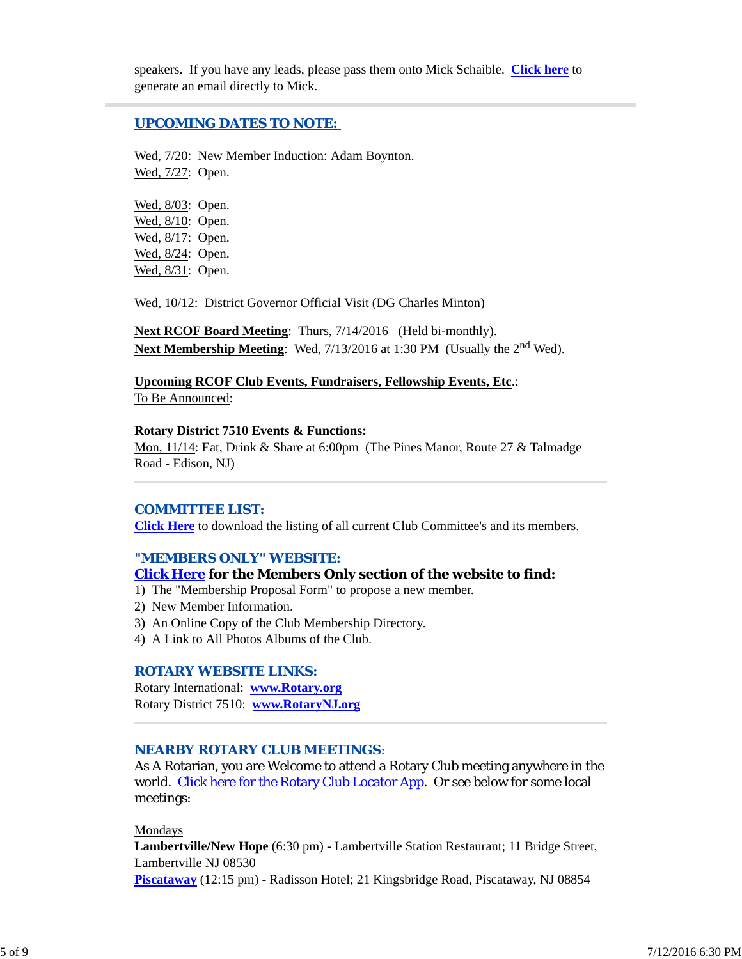speakers. If you have any leads, please pass them onto Mick Schaible. **Click here** to generate an email directly to Mick.

### *UPCOMING DATES TO NOTE:*

Wed, 7/20: New Member Induction: Adam Boynton. Wed, 7/27: Open.

Wed, 8/03: Open. Wed, 8/10: Open. Wed, 8/17: Open. Wed, 8/24: Open. Wed, 8/31: Open.

Wed, 10/12: District Governor Official Visit (DG Charles Minton)

**Next RCOF Board Meeting**: Thurs, 7/14/2016 (Held bi-monthly). Next Membership Meeting: Wed, 7/13/2016 at 1:30 PM (Usually the 2<sup>nd</sup> Wed).

**Upcoming RCOF Club Events, Fundraisers, Fellowship Events, Etc**.: To Be Announced:

#### **Rotary District 7510 Events & Functions:**

Mon, 11/14: Eat, Drink & Share at 6:00pm (The Pines Manor, Route 27 & Talmadge Road - Edison, NJ)

### *COMMITTEE LIST:*

**Click Here** to download the listing of all current Club Committee's and its members.

## *"MEMBERS ONLY" WEBSITE:*

### **Click Here for the Members Only section of the website to find:**

1) The "Membership Proposal Form" to propose a new member.

- 2) New Member Information.
- 3) An Online Copy of the Club Membership Directory.
- 4) A Link to All Photos Albums of the Club.

### *ROTARY WEBSITE LINKS:*

Rotary International: **www.Rotary.org** Rotary District 7510: **www.RotaryNJ.org**

### *NEARBY ROTARY CLUB MEETINGS:*

As A Rotarian, you are Welcome to attend a Rotary Club meeting anywhere in the world. Click here for the Rotary Club Locator App. Or see below for some local meetings:

#### Mondays

**Lambertville/New Hope** (6:30 pm) - Lambertville Station Restaurant; 11 Bridge Street, Lambertville NJ 08530

**Piscataway** (12:15 pm) - Radisson Hotel; 21 Kingsbridge Road, Piscataway, NJ 08854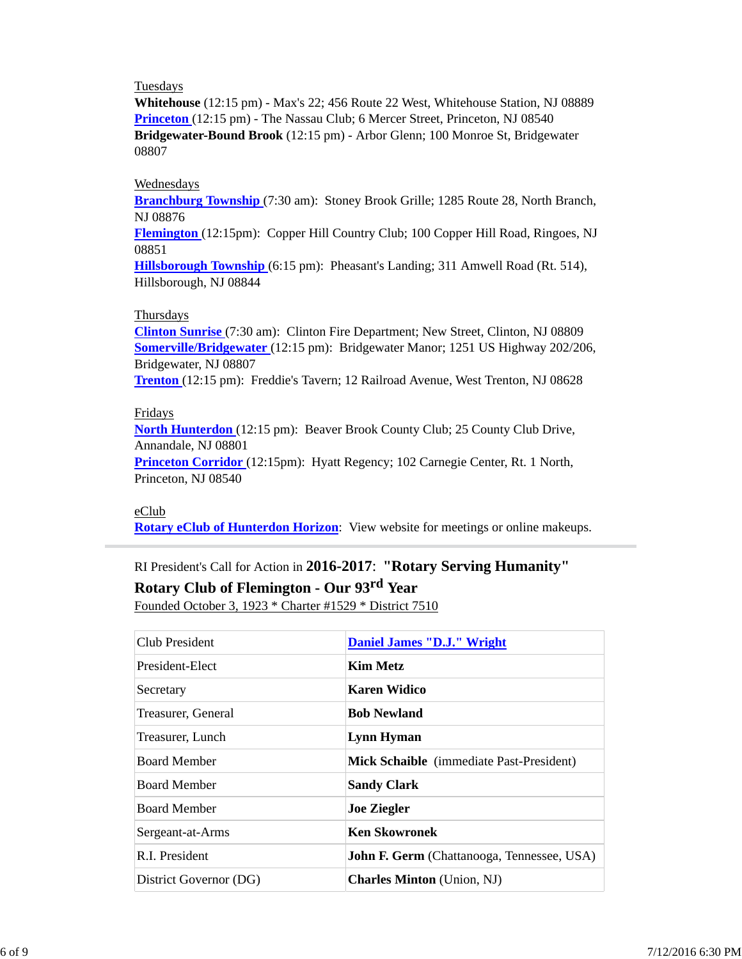### Tuesdays

**Whitehouse** (12:15 pm) - Max's 22; 456 Route 22 West, Whitehouse Station, NJ 08889 **Princeton** (12:15 pm) - The Nassau Club; 6 Mercer Street, Princeton, NJ 08540 **Bridgewater-Bound Brook** (12:15 pm) - Arbor Glenn; 100 Monroe St, Bridgewater 08807

### Wednesdays

**Branchburg Township** (7:30 am): Stoney Brook Grille; 1285 Route 28, North Branch, NJ 08876

**Flemington** (12:15pm): Copper Hill Country Club; 100 Copper Hill Road, Ringoes, NJ 08851

**Hillsborough Township** (6:15 pm): Pheasant's Landing; 311 Amwell Road (Rt. 514), Hillsborough, NJ 08844

### Thursdays

**Clinton Sunrise** (7:30 am): Clinton Fire Department; New Street, Clinton, NJ 08809 **Somerville/Bridgewater** (12:15 pm): Bridgewater Manor; 1251 US Highway 202/206, Bridgewater, NJ 08807

**Trenton** (12:15 pm): Freddie's Tavern; 12 Railroad Avenue, West Trenton, NJ 08628

### Fridays

**North Hunterdon** (12:15 pm): Beaver Brook County Club; 25 County Club Drive, Annandale, NJ 08801

**Princeton Corridor** (12:15pm): Hyatt Regency; 102 Carnegie Center, Rt. 1 North, Princeton, NJ 08540

### eClub

**Rotary eClub of Hunterdon Horizon**: View website for meetings or online makeups.

# RI President's Call for Action in **2016-2017**: **"Rotary Serving Humanity"**

**Rotary Club of Flemington - Our 93rd Year**

Founded October 3, 1923 \* Charter #1529 \* District 7510

| Club President         | <b>Daniel James "D.J." Wright</b>                 |
|------------------------|---------------------------------------------------|
| President-Elect        | Kim Metz                                          |
| Secretary              | <b>Karen Widico</b>                               |
| Treasurer, General     | <b>Bob Newland</b>                                |
| Treasurer, Lunch       | Lynn Hyman                                        |
| <b>Board Member</b>    | Mick Schaible (immediate Past-President)          |
| <b>Board Member</b>    | <b>Sandy Clark</b>                                |
| <b>Board Member</b>    | <b>Joe Ziegler</b>                                |
| Sergeant-at-Arms       | <b>Ken Skowronek</b>                              |
| R.I. President         | <b>John F. Germ</b> (Chattanooga, Tennessee, USA) |
| District Governor (DG) | <b>Charles Minton</b> (Union, NJ)                 |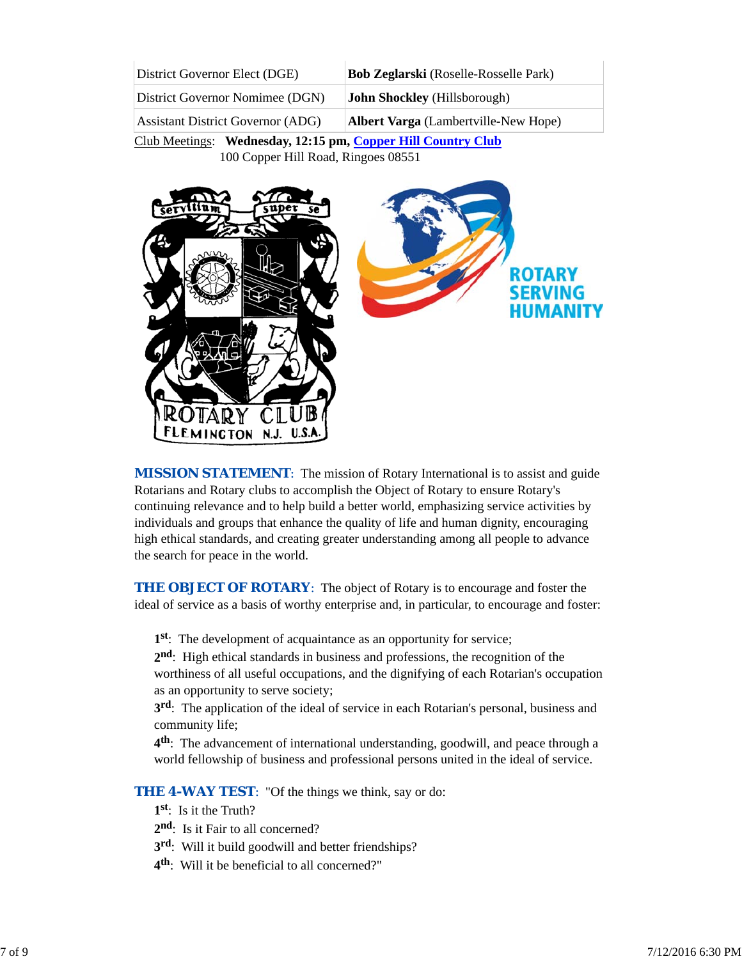| District Governor Elect (DGE)            | <b>Bob Zeglarski</b> (Roselle-Rosselle Park) |
|------------------------------------------|----------------------------------------------|
| District Governor Nomimee (DGN)          | <b>John Shockley</b> (Hillsborough)          |
| <b>Assistant District Governor (ADG)</b> | <b>Albert Varga</b> (Lambertville-New Hope)  |

Club Meetings: **Wednesday, 12:15 pm, Copper Hill Country Club** 100 Copper Hill Road, Ringoes 08551



*MISSION STATEMENT*: The mission of Rotary International is to assist and guide Rotarians and Rotary clubs to accomplish the Object of Rotary to ensure Rotary's continuing relevance and to help build a better world, emphasizing service activities by individuals and groups that enhance the quality of life and human dignity, encouraging high ethical standards, and creating greater understanding among all people to advance the search for peace in the world.

**THE OBJECT OF ROTARY:** The object of Rotary is to encourage and foster the ideal of service as a basis of worthy enterprise and, in particular, to encourage and foster:

**1st**: The development of acquaintance as an opportunity for service;

**2nd**: High ethical standards in business and professions, the recognition of the worthiness of all useful occupations, and the dignifying of each Rotarian's occupation as an opportunity to serve society;

**3rd**: The application of the ideal of service in each Rotarian's personal, business and community life;

**4th**: The advancement of international understanding, goodwill, and peace through a world fellowship of business and professional persons united in the ideal of service.

**THE 4-WAY TEST:** "Of the things we think, say or do:

- **1st**: Is it the Truth?
- 2<sup>nd</sup>: Is it Fair to all concerned?
- **3rd**: Will it build goodwill and better friendships?
- **4th**: Will it be beneficial to all concerned?"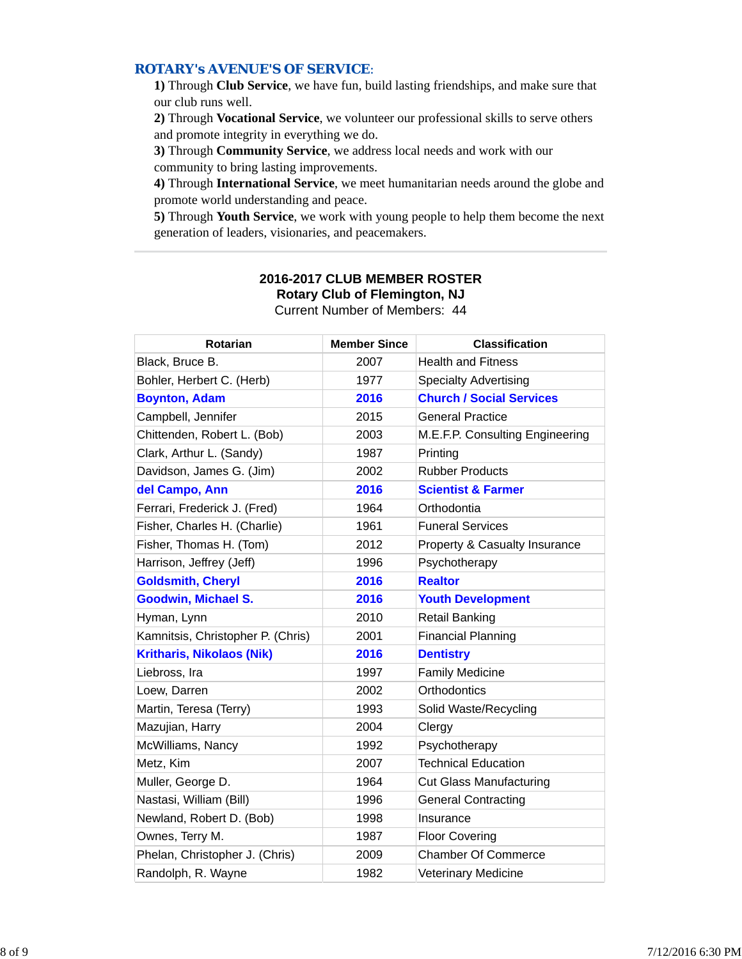## *ROTARY's AVENUE'S OF SERVICE*:

**1)** Through **Club Service**, we have fun, build lasting friendships, and make sure that our club runs well.

**2)** Through **Vocational Service**, we volunteer our professional skills to serve others and promote integrity in everything we do.

**3)** Through **Community Service**, we address local needs and work with our community to bring lasting improvements.

**4)** Through **International Service**, we meet humanitarian needs around the globe and promote world understanding and peace.

**5)** Through **Youth Service**, we work with young people to help them become the next generation of leaders, visionaries, and peacemakers.

| <b>Rotarian</b>                   | <b>Member Since</b> | <b>Classification</b>           |
|-----------------------------------|---------------------|---------------------------------|
| Black, Bruce B.                   | 2007                | <b>Health and Fitness</b>       |
| Bohler, Herbert C. (Herb)         | 1977                | <b>Specialty Advertising</b>    |
| <b>Boynton, Adam</b>              | 2016                | <b>Church / Social Services</b> |
| Campbell, Jennifer                | 2015                | <b>General Practice</b>         |
| Chittenden, Robert L. (Bob)       | 2003                | M.E.F.P. Consulting Engineering |
| Clark, Arthur L. (Sandy)          | 1987                | Printing                        |
| Davidson, James G. (Jim)          | 2002                | <b>Rubber Products</b>          |
| del Campo, Ann                    | 2016                | <b>Scientist &amp; Farmer</b>   |
| Ferrari, Frederick J. (Fred)      | 1964                | Orthodontia                     |
| Fisher, Charles H. (Charlie)      | 1961                | <b>Funeral Services</b>         |
| Fisher, Thomas H. (Tom)           | 2012                | Property & Casualty Insurance   |
| Harrison, Jeffrey (Jeff)          | 1996                | Psychotherapy                   |
| <b>Goldsmith, Cheryl</b>          | 2016                | <b>Realtor</b>                  |
| <b>Goodwin, Michael S.</b>        | 2016                | <b>Youth Development</b>        |
| Hyman, Lynn                       | 2010                | <b>Retail Banking</b>           |
| Kamnitsis, Christopher P. (Chris) | 2001                | <b>Financial Planning</b>       |
| <b>Kritharis, Nikolaos (Nik)</b>  | 2016                | <b>Dentistry</b>                |
| Liebross, Ira                     | 1997                | <b>Family Medicine</b>          |
| Loew, Darren                      | 2002                | Orthodontics                    |
| Martin, Teresa (Terry)            | 1993                | Solid Waste/Recycling           |
| Mazujian, Harry                   | 2004                | Clergy                          |
| McWilliams, Nancy                 | 1992                | Psychotherapy                   |
| Metz, Kim                         | 2007                | <b>Technical Education</b>      |
| Muller, George D.                 | 1964                | <b>Cut Glass Manufacturing</b>  |
| Nastasi, William (Bill)           | 1996                | <b>General Contracting</b>      |
| Newland, Robert D. (Bob)          | 1998                | Insurance                       |
| Ownes, Terry M.                   | 1987                | <b>Floor Covering</b>           |
| Phelan, Christopher J. (Chris)    | 2009                | <b>Chamber Of Commerce</b>      |
| Randolph, R. Wayne                | 1982                | <b>Veterinary Medicine</b>      |

### **2016-2017 CLUB MEMBER ROSTER Rotary Club of Flemington, NJ** Current Number of Members: 44